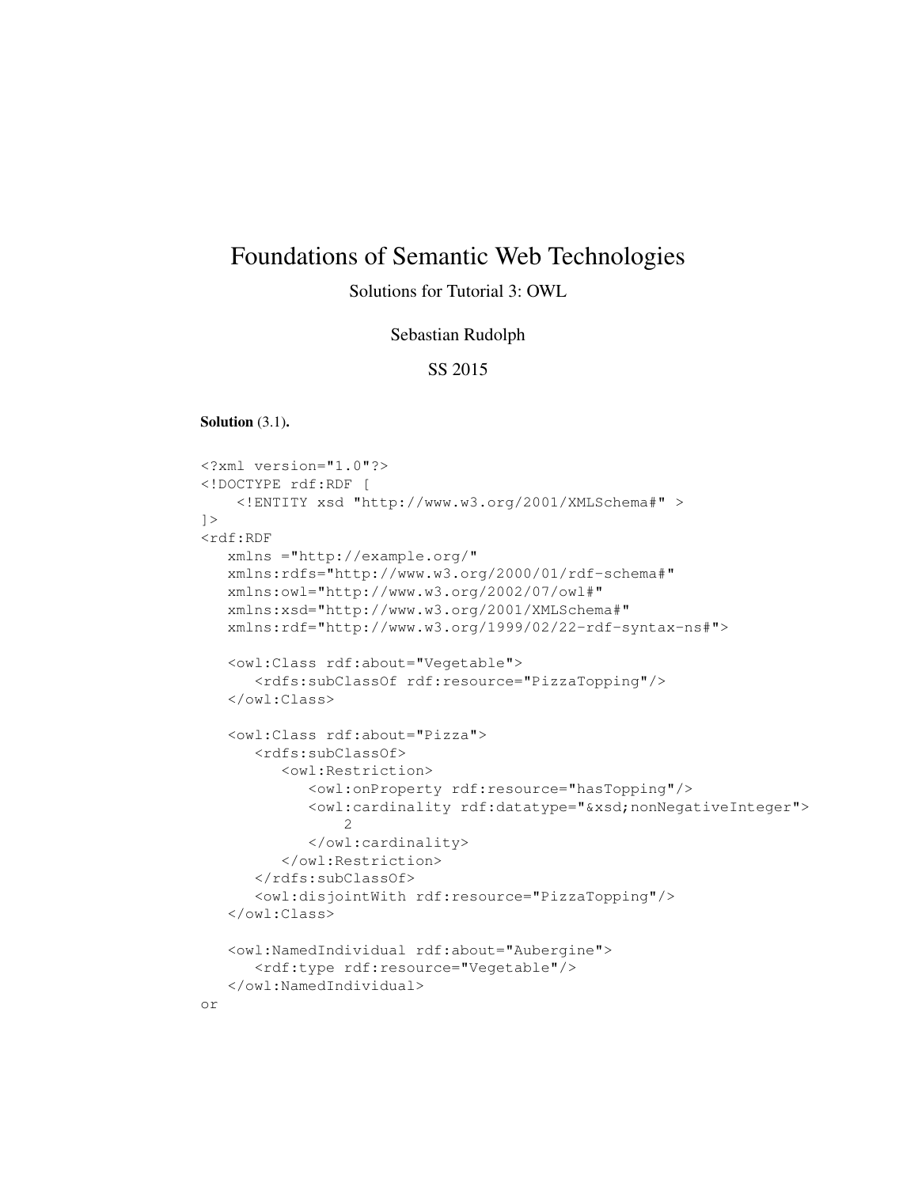# Foundations of Semantic Web Technologies

# Solutions for Tutorial 3: OWL

### Sebastian Rudolph

## SS 2015

Solution (3.1).

```
<?xml version="1.0"?>
<!DOCTYPE rdf:RDF [
    <!ENTITY xsd "http://www.w3.org/2001/XMLSchema#" >
]>
<rdf:RDF
  xmlns ="http://example.org/"
  xmlns:rdfs="http://www.w3.org/2000/01/rdf-schema#"
  xmlns:owl="http://www.w3.org/2002/07/owl#"
   xmlns:xsd="http://www.w3.org/2001/XMLSchema#"
  xmlns:rdf="http://www.w3.org/1999/02/22-rdf-syntax-ns#">
   <owl:Class rdf:about="Vegetable">
      <rdfs:subClassOf rdf:resource="PizzaTopping"/>
   </owl:Class>
   <owl:Class rdf:about="Pizza">
      <rdfs:subClassOf>
         <owl:Restriction>
            <owl:onProperty rdf:resource="hasTopping"/>
            <owl:cardinality rdf:datatype="&xsd;nonNegativeInteger">
                2
            </owl:cardinality>
         </owl:Restriction>
      </rdfs:subClassOf>
      <owl:disjointWith rdf:resource="PizzaTopping"/>
   </owl:Class>
   <owl:NamedIndividual rdf:about="Aubergine">
      <rdf:type rdf:resource="Vegetable"/>
   </owl:NamedIndividual>
```
or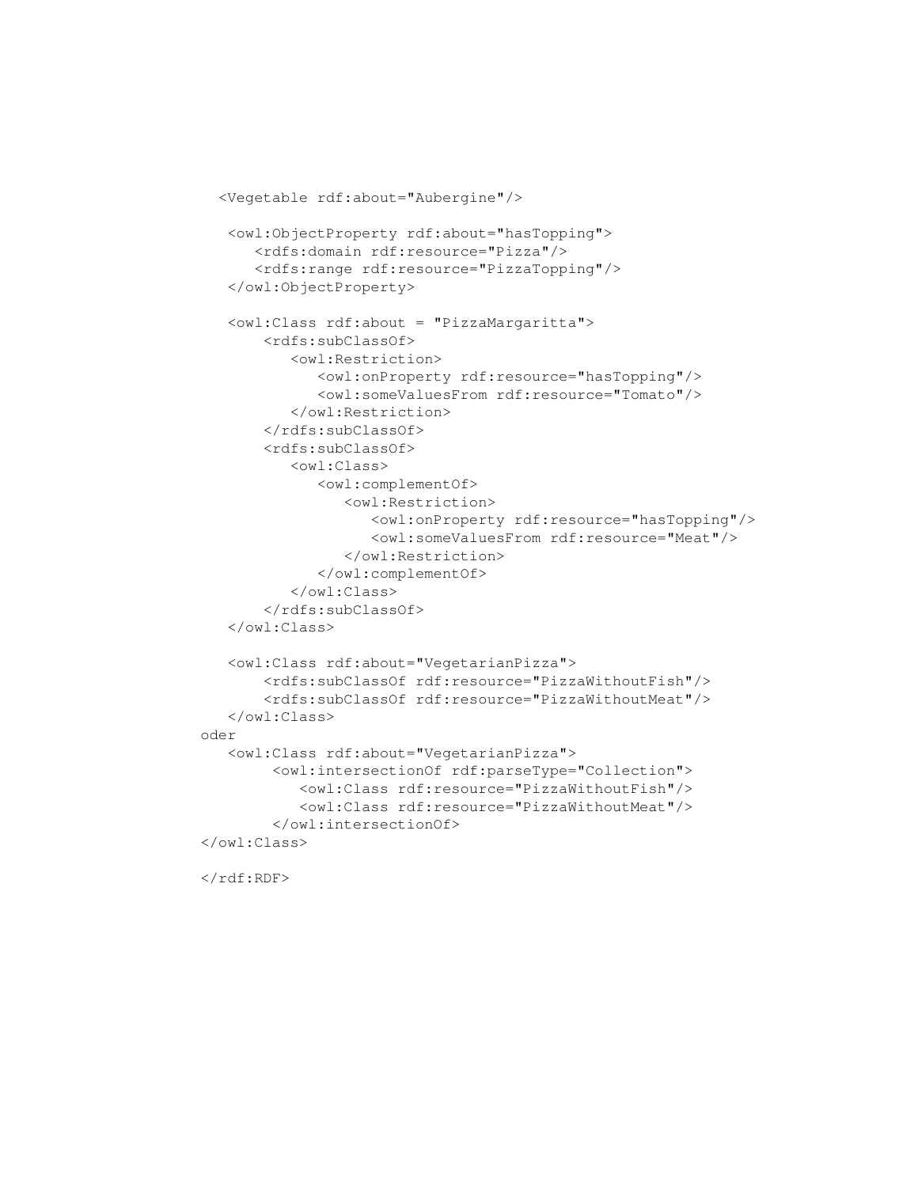```
<Vegetable rdf:about="Aubergine"/>
   <owl:ObjectProperty rdf:about="hasTopping">
      <rdfs:domain rdf:resource="Pizza"/>
      <rdfs:range rdf:resource="PizzaTopping"/>
   </owl:ObjectProperty>
   <owl:Class rdf:about = "PizzaMargaritta">
       <rdfs:subClassOf>
          <owl:Restriction>
             <owl:onProperty rdf:resource="hasTopping"/>
             <owl:someValuesFrom rdf:resource="Tomato"/>
          </owl:Restriction>
       </rdfs:subClassOf>
       <rdfs:subClassOf>
          <owl:Class>
             <owl:complementOf>
                <owl:Restriction>
                   <owl:onProperty rdf:resource="hasTopping"/>
                   <owl:someValuesFrom rdf:resource="Meat"/>
                </owl:Restriction>
             </owl:complementOf>
          </owl:Class>
       </rdfs:subClassOf>
   </owl:Class>
   <owl:Class rdf:about="VegetarianPizza">
       <rdfs:subClassOf rdf:resource="PizzaWithoutFish"/>
       <rdfs:subClassOf rdf:resource="PizzaWithoutMeat"/>
   </owl:Class>
oder
   <owl:Class rdf:about="VegetarianPizza">
        <owl:intersectionOf rdf:parseType="Collection">
           <owl:Class rdf:resource="PizzaWithoutFish"/>
           <owl:Class rdf:resource="PizzaWithoutMeat"/>
        </owl:intersectionOf>
</owl:Class>
```
 $\langle$ / $\mathsf{rdf:RDF}\rangle$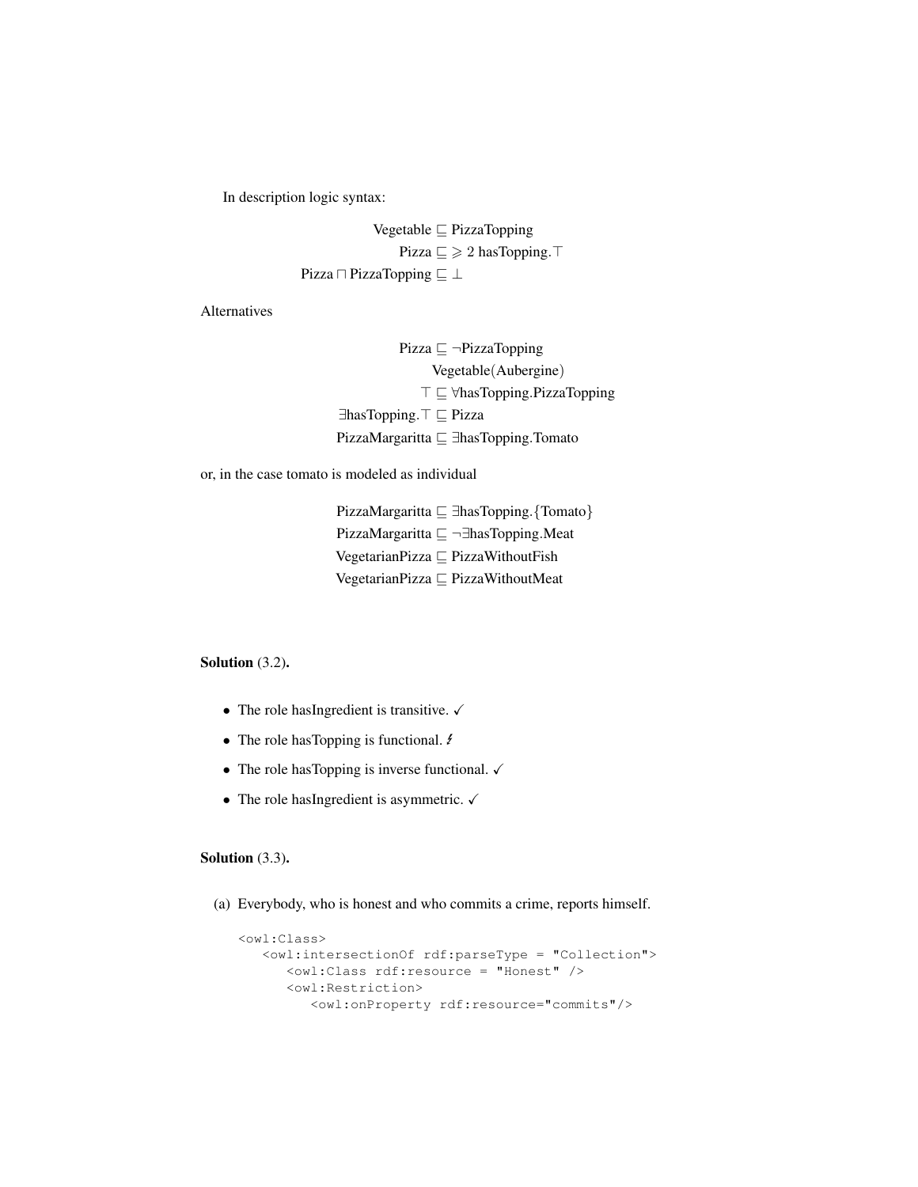In description logic syntax:

Vegetable  $\sqsubseteq$  PizzaTopping Pizza  $\sqsubseteq \geqslant 2$  has Topping.  $\top$ Pizza  $\Box$  PizzaTopping  $\Box \perp$ 

Alternatives

Pizza  $\sqsubseteq \neg \text{PizzaTopping}$ Vegetable(Aubergine) T ⊑ ∀hasTopping.PizzaTopping ∃hasTopping.<sup>T</sup>  $\sqsubseteq$  Pizza PizzaMargaritta ⊑ ∃hasTopping.Tomato

or, in the case tomato is modeled as individual

PizzaMargaritta ⊆ ∃hasTopping.{Tomato} PizzaMargaritta  $\sqsubseteq \neg \exists$ hasTopping.Meat VegetarianPizza  $\sqsubseteq$  PizzaWithoutFish VegetarianPizza  $\sqsubseteq$  PizzaWithoutMeat

#### Solution (3.2).

- The role hasIngredient is transitive.  $\checkmark$
- The role has Topping is functional.  $\ell$
- The role has Topping is inverse functional.  $\checkmark$
- The role hasIngredient is asymmetric.  $\checkmark$

#### Solution (3.3).

(a) Everybody, who is honest and who commits a crime, reports himself.

```
<owl:Class>
  <owl:intersectionOf rdf:parseType = "Collection">
     <owl:Class rdf:resource = "Honest" />
     <owl:Restriction>
         <owl:onProperty rdf:resource="commits"/>
```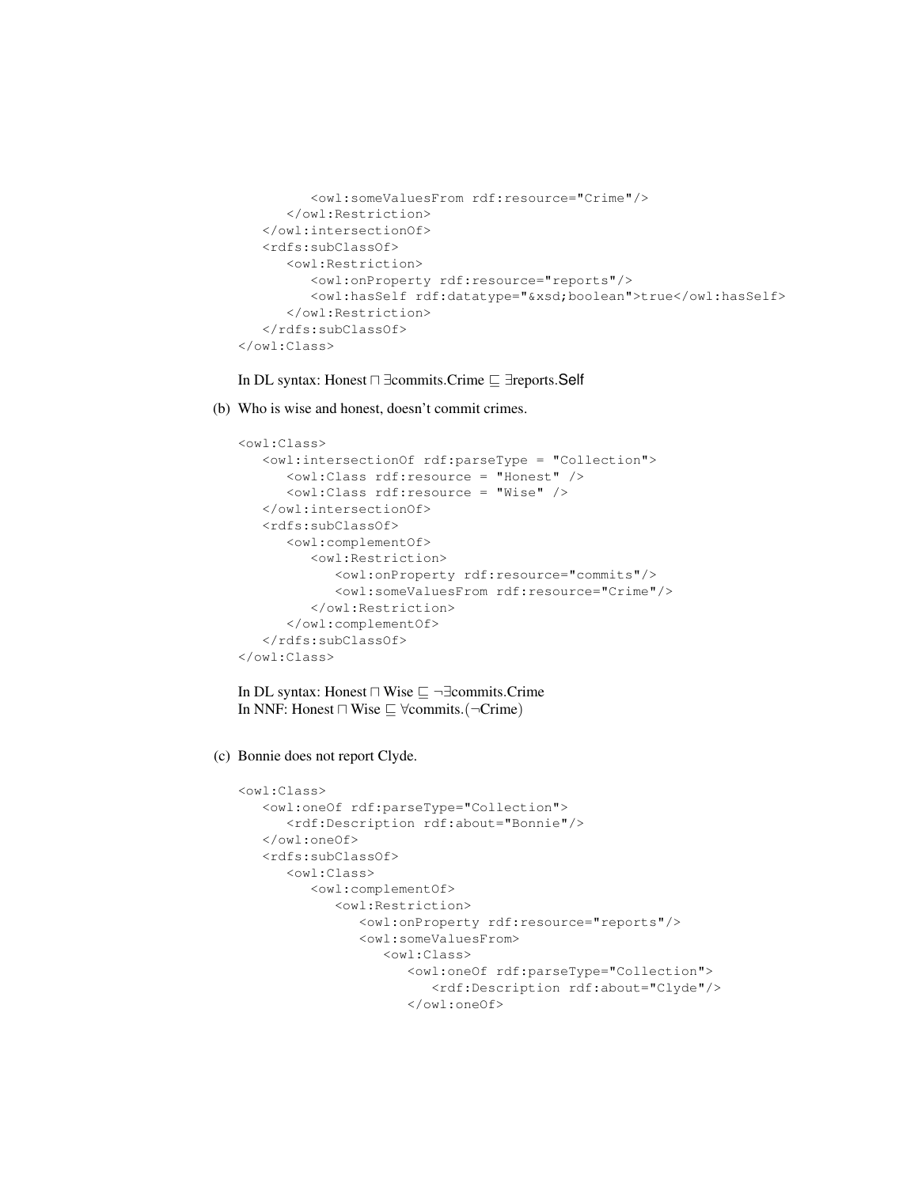```
<owl:someValuesFrom rdf:resource="Crime"/>
      </owl:Restriction>
   </owl:intersectionOf>
   <rdfs:subClassOf>
      <owl:Restriction>
         <owl:onProperty rdf:resource="reports"/>
         <owl:hasSelf rdf:datatype="&xsd;boolean">true</owl:hasSelf>
      </owl:Restriction>
   </rdfs:subClassOf>
</owl:Class>
```
In DL syntax: Honest  $\Box$  ∃commits.Crime  $\Box$  ∃reports.Self

(b) Who is wise and honest, doesn't commit crimes.

```
<owl:Class>
   <owl:intersectionOf rdf:parseType = "Collection">
      <owl:Class rdf:resource = "Honest" />
      <owl:Class rdf:resource = "Wise" />
   </owl:intersectionOf>
   <rdfs:subClassOf>
      <owl:complementOf>
         <owl:Restriction>
            <owl:onProperty rdf:resource="commits"/>
            <owl:someValuesFrom rdf:resource="Crime"/>
         </owl:Restriction>
      </owl:complementOf>
   </rdfs:subClassOf>
</owl:Class>
```
In DL syntax: Honest  $\Box$  Wise  $\sqsubseteq \neg \exists$ commits.Crime In NNF: Honest  $\Box$  Wise  $\sqsubseteq$  ∀commits. ( $\neg$ Crime)

(c) Bonnie does not report Clyde.

```
<owl:Class>
   <owl:oneOf rdf:parseType="Collection">
      <rdf:Description rdf:about="Bonnie"/>
   </owl:oneOf>
   <rdfs:subClassOf>
      <owl:Class>
         <owl:complementOf>
            <owl:Restriction>
               <owl:onProperty rdf:resource="reports"/>
               <owl:someValuesFrom>
                  <owl:Class>
                     <owl:oneOf rdf:parseType="Collection">
                        <rdf:Description rdf:about="Clyde"/>
                     </owl:oneOf>
```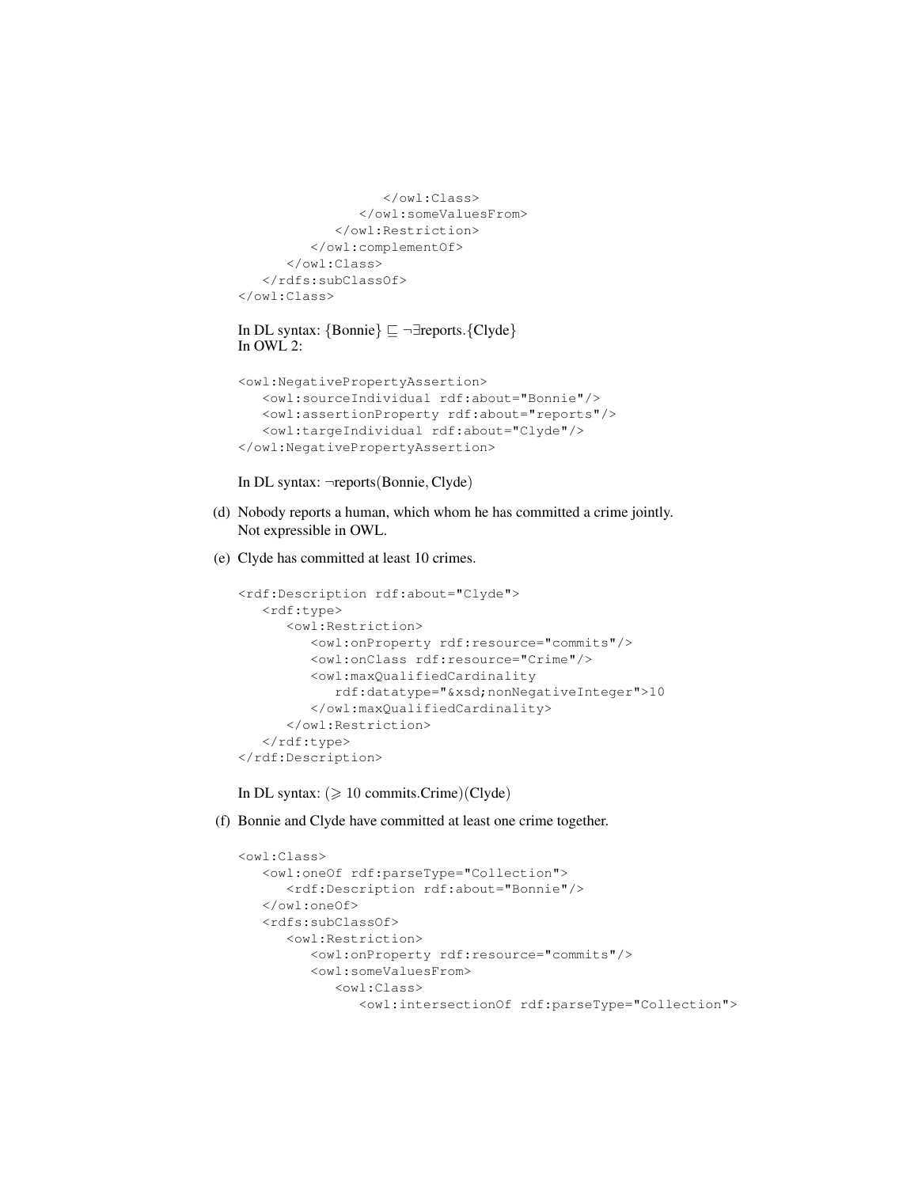```
</owl:Class>
               </owl:someValuesFrom>
            </owl:Restriction>
         </owl:complementOf>
      </owl:Class>
   </rdfs:subClassOf>
</owl:Class>
```

```
In DL syntax: {Bonnie} \subseteq ¬∃reports.{Clyde}
In OWL 2:
```

```
<owl:NegativePropertyAssertion>
  <owl:sourceIndividual rdf:about="Bonnie"/>
  <owl:assertionProperty rdf:about="reports"/>
  <owl:targeIndividual rdf:about="Clyde"/>
</owl:NegativePropertyAssertion>
```
In DL syntax: ¬reports(Bonnie, Clyde)

- (d) Nobody reports a human, which whom he has committed a crime jointly. Not expressible in OWL.
- (e) Clyde has committed at least 10 crimes.

```
<rdf:Description rdf:about="Clyde">
  <rdf:type>
     <owl:Restriction>
         <owl:onProperty rdf:resource="commits"/>
         <owl:onClass rdf:resource="Crime"/>
         <owl:maxQualifiedCardinality
            rdf:datatype="&xsd;nonNegativeInteger">10
         </owl:maxQualifiedCardinality>
     </owl:Restriction>
  </rdf:type>
</rdf:Description>
```
In DL syntax:  $(\geq 10 \text{ commits}.\text{Crime})(\text{Clyde})$ 

(f) Bonnie and Clyde have committed at least one crime together.

```
<owl:Class>
  <owl:oneOf rdf:parseType="Collection">
     <rdf:Description rdf:about="Bonnie"/>
  </owl:oneOf>
   <rdfs:subClassOf>
     <owl:Restriction>
         <owl:onProperty rdf:resource="commits"/>
         <owl:someValuesFrom>
            <owl:Class>
               <owl:intersectionOf rdf:parseType="Collection">
```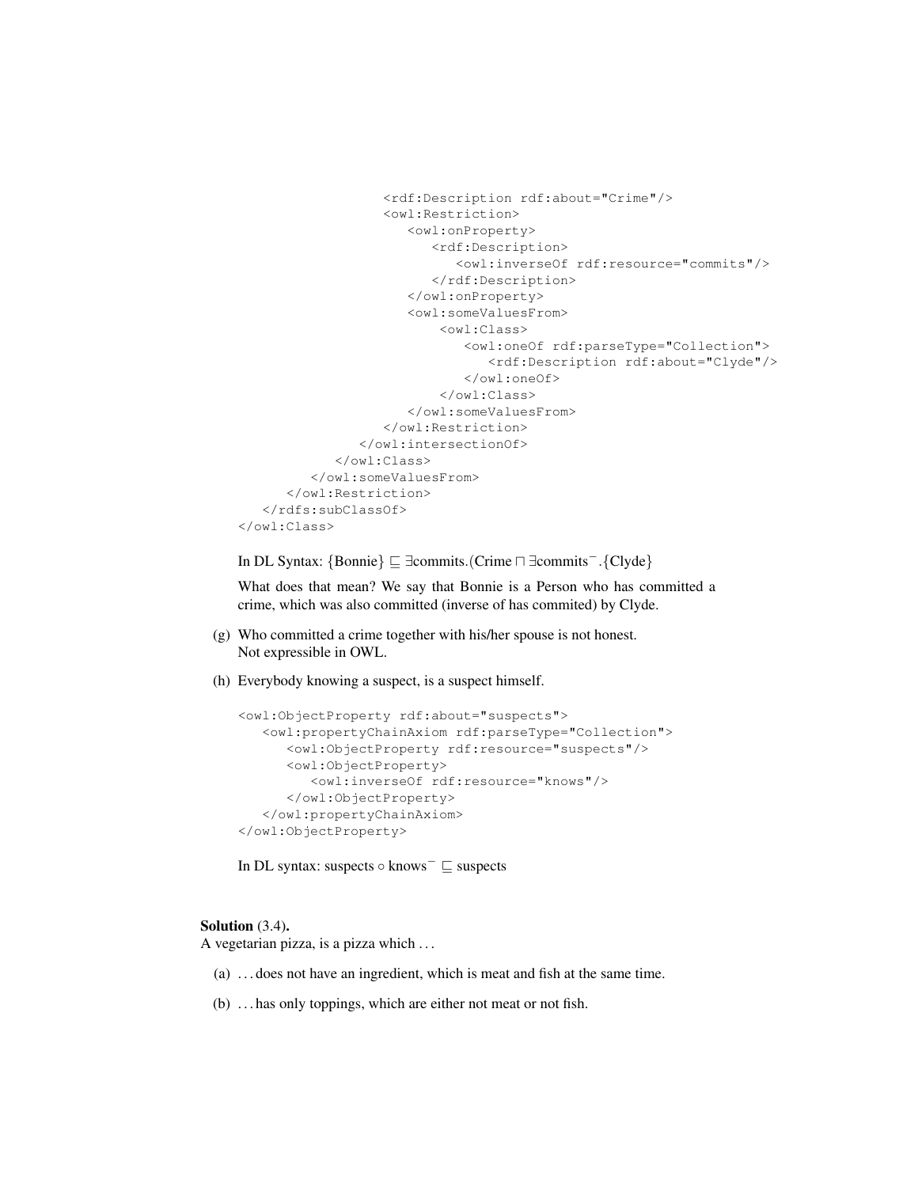```
<rdf:Description rdf:about="Crime"/>
                  <owl:Restriction>
                     <owl:onProperty>
                        <rdf:Description>
                           <owl:inverseOf rdf:resource="commits"/>
                        </rdf:Description>
                     </owl:onProperty>
                     <owl:someValuesFrom>
                         <owl:Class>
                            <owl:oneOf rdf:parseType="Collection">
                               <rdf:Description rdf:about="Clyde"/>
                            </owl:oneOf>
                         </owl:Class>
                     </owl:someValuesFrom>
                  </owl:Restriction>
               </owl:intersectionOf>
            </owl:Class>
         </owl:someValuesFrom>
      </owl:Restriction>
   </rdfs:subClassOf>
</owl:Class>
```
In DL Syntax: {Bonnie}  $\sqsubset \exists$ commits.(Crime  $\sqcap \exists$ commits<sup>−</sup>.{Clyde}

What does that mean? We say that Bonnie is a Person who has committed a crime, which was also committed (inverse of has commited) by Clyde.

- (g) Who committed a crime together with his/her spouse is not honest. Not expressible in OWL.
- (h) Everybody knowing a suspect, is a suspect himself.

```
<owl:ObjectProperty rdf:about="suspects">
   <owl:propertyChainAxiom rdf:parseType="Collection">
     <owl:ObjectProperty rdf:resource="suspects"/>
     <owl:ObjectProperty>
         <owl:inverseOf rdf:resource="knows"/>
     </owl:ObjectProperty>
   </owl:propertyChainAxiom>
</owl:ObjectProperty>
```
In DL syntax: suspects  $\circ$  knows<sup>-</sup>  $\sqsubseteq$  suspects

#### Solution  $(3.4)$ .

A vegetarian pizza, is a pizza which . . .

- (a) . . . does not have an ingredient, which is meat and fish at the same time.
- (b) . . . has only toppings, which are either not meat or not fish.